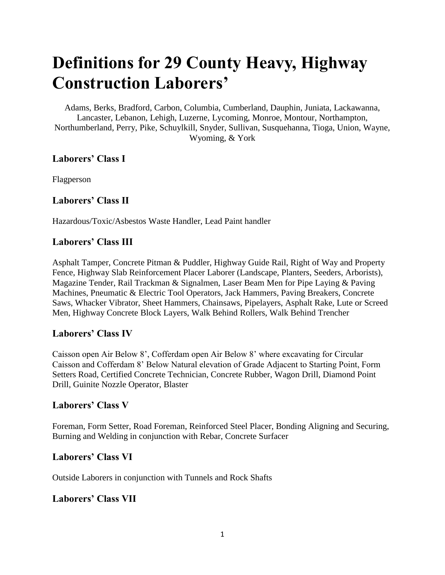# **Definitions for 29 County Heavy, Highway Construction Laborers'**

Adams, Berks, Bradford, Carbon, Columbia, Cumberland, Dauphin, Juniata, Lackawanna, Lancaster, Lebanon, Lehigh, Luzerne, Lycoming, Monroe, Montour, Northampton, Northumberland, Perry, Pike, Schuylkill, Snyder, Sullivan, Susquehanna, Tioga, Union, Wayne, Wyoming, & York

#### **Laborers' Class I**

Flagperson

#### **Laborers' Class II**

Hazardous/Toxic/Asbestos Waste Handler, Lead Paint handler

#### **Laborers' Class III**

Asphalt Tamper, Concrete Pitman & Puddler, Highway Guide Rail, Right of Way and Property Fence, Highway Slab Reinforcement Placer Laborer (Landscape, Planters, Seeders, Arborists), Magazine Tender, Rail Trackman & Signalmen, Laser Beam Men for Pipe Laying & Paving Machines, Pneumatic & Electric Tool Operators, Jack Hammers, Paving Breakers, Concrete Saws, Whacker Vibrator, Sheet Hammers, Chainsaws, Pipelayers, Asphalt Rake, Lute or Screed Men, Highway Concrete Block Layers, Walk Behind Rollers, Walk Behind Trencher

#### **Laborers' Class IV**

Caisson open Air Below 8', Cofferdam open Air Below 8' where excavating for Circular Caisson and Cofferdam 8' Below Natural elevation of Grade Adjacent to Starting Point, Form Setters Road, Certified Concrete Technician, Concrete Rubber, Wagon Drill, Diamond Point Drill, Guinite Nozzle Operator, Blaster

#### **Laborers' Class V**

Foreman, Form Setter, Road Foreman, Reinforced Steel Placer, Bonding Aligning and Securing, Burning and Welding in conjunction with Rebar, Concrete Surfacer

## **Laborers' Class VI**

Outside Laborers in conjunction with Tunnels and Rock Shafts

## **Laborers' Class VII**